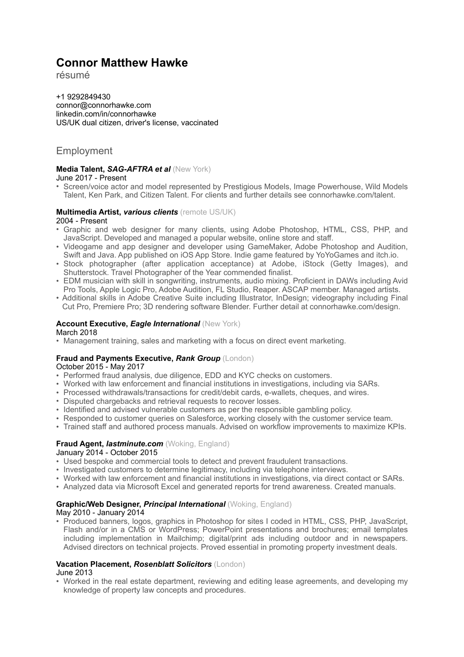# **Connor Matthew Hawke**

résumé

[+1 9292849430](tel:929-284-9430) [connor@connorhawke.com](mailto:connor@connorhawke.com) [linkedin.com/in/connorhawke](http://linkedin.com/in/connorhawke) US/UK dual citizen, driver's license, vaccinated

## Employment

## **Media Talent,** *SAG-AFTRA et al* (New York)

June 2017 - Present

• Screen/voice actor and model represented by Prestigious Models, Image Powerhouse, Wild Models Talent, Ken Park, and Citizen Talent. For clients and further details see [connorhawke.com/talent](http://connorhawke.com/talent).

### **Multimedia Artist,** *various clients* (remote US/UK)

#### 2004 - Present

- Graphic and web designer for many clients, using Adobe Photoshop, HTML, CSS, PHP, and JavaScript. Developed and managed a popular website, online store and staff.
- Videogame and app designer and developer using GameMaker, Adobe Photoshop and Audition, Swift and Java. App published on iOS App Store. Indie game featured by YoYoGames and itch.io.
- Stock photographer (after application acceptance) at Adobe, iStock (Getty Images), and Shutterstock. Travel Photographer of the Year commended finalist.
- EDM musician with skill in songwriting, instruments, audio mixing. Proficient in DAWs including Avid Pro Tools, Apple Logic Pro, Adobe Audition, FL Studio, Reaper. ASCAP member. Managed artists.
- Additional skills in Adobe Creative Suite including Illustrator, InDesign; videography including Final Cut Pro, Premiere Pro; 3D rendering software Blender. Further detail at [connorhawke.com/design.](http://connorhawke.com/design)

## **Account Executive,** *Eagle International* (New York)

#### March 2018

• Management training, sales and marketing with a focus on direct event marketing.

## **Fraud and Payments Executive,** *Rank Group* (London)

October 2015 - May 2017

- Performed fraud analysis, due diligence, EDD and KYC checks on customers.
- Worked with law enforcement and financial institutions in investigations, including via SARs.
- Processed withdrawals/transactions for credit/debit cards, e-wallets, cheques, and wires.
- Disputed chargebacks and retrieval requests to recover losses.
- Identified and advised vulnerable customers as per the responsible gambling policy.
- Responded to customer queries on Salesforce, working closely with the customer service team.
- Trained staff and authored process manuals. Advised on workflow improvements to maximize KPIs.

## **Fraud Agent,** *lastminute.com* (Woking, England)

#### January 2014 - October 2015

- Used bespoke and commercial tools to detect and prevent fraudulent transactions.
- Investigated customers to determine legitimacy, including via telephone interviews.
- Worked with law enforcement and financial institutions in investigations, via direct contact or SARs.
- Analyzed data via Microsoft Excel and generated reports for trend awareness. Created manuals.

#### **Graphic/Web Designer,** *Principal International* (Woking, England) May 2010 - January 2014

• Produced banners, logos, graphics in Photoshop for sites I coded in HTML, CSS, PHP, JavaScript, Flash and/or in a CMS or WordPress; PowerPoint presentations and brochures; email templates including implementation in Mailchimp; digital/print ads including outdoor and in newspapers. Advised directors on technical projects. Proved essential in promoting property investment deals.

## **Vacation Placement,** *Rosenblatt Solicitors* (London)

#### June 2013

• Worked in the real estate department, reviewing and editing lease agreements, and developing my knowledge of property law concepts and procedures.